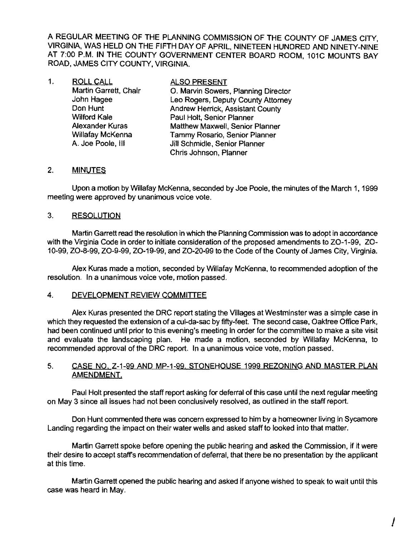A REGULAR MEETING OF THE PLANNING COMMISSION OF THE COUNTY OF JAMES CITY VIRGINIA, WAS HELD ON THE FIFTH DAY OF APRIL, NINETEEN HUNDRED AND NINETY-NINE AT 7:00 P.M. **IN** THE COUNTY GOVERNMENT CENTER BOARD ROOM, 101C MOUNTS BAY ROAD, JAMES CITY COUNTY, VIRGINIA.

| $\mathbf{1}$ . | <b>ROLL CALL</b>      | <b>ALSO PRESENT</b>                 |
|----------------|-----------------------|-------------------------------------|
|                | Martin Garrett, Chair | O. Marvin Sowers, Planning Director |
|                | John Hagee            | Leo Rogers, Deputy County Attorney  |
|                | Don Hunt              | Andrew Herrick, Assistant County    |
|                | <b>Wilford Kale</b>   | Paul Holt, Senior Planner           |
|                | Alexander Kuras       | Matthew Maxwell, Senior Planner     |
|                | Willafay McKenna      | Tammy Rosario, Senior Planner       |
|                | A. Joe Poole, III     | Jill Schmidle, Senior Planner       |
|                |                       | Chris Johnson, Planner              |

# 2. MINUTES

Upon a motion by Willafay McKenna, seconded by Joe Poole, the minutes of the March 1, 1999 meeting were approved by unanimous voice vote.

#### 3. RESOLUTION

Martin Garrett read the resolution in which the Planning Commission was to adopt in accordance with the Virginia Code in order to initiate consideration of the proposed amendments to ZO-1-99, ZO-10-99, ZO-8-99, ZO-9-99, ZO-19-99, and ZO-20-99 to the Code ofthe County of James City, Virginia.

Alex Kuras made a motion, seconded by Willafay McKenna, to recommended adoption of the resolution. In a unanimous voice vote, motion passed.

#### 4. DEVELOPMENT REVIEW COMMITTEE

Alex Kuras presented the DRC report stating the Villages at Westminster was a simple case in which they requested the extension of a cul-da-sac by fifty-feet. The second case, Oaktree Office Park, had been continued until prior to this evening's meeting in order for the committee to make a site visit and evaluate the landscaping plan. He made a motion, seconded by Willafay McKenna, to recommended approval of the DRC report. In a unanimous voice vote, motion passed.

### 5. CASE NO. Z-1-99 AND MP-1-99. STONEHOUSE 1999 REZONING AND MASTER PLAN AMENDMENT.

Paul Holt presented the staff report asking for deferral of this case until the next regular meeting on May 3 since all issues had not been conclusively resolved, as outlined in the staff report.

Don Hunt commented there was concern expressed to him by a homeowner living in Sycamore Landing regarding the impact on their water wells and asked staff to looked into that matter.

Martin Garrett spoke before opening the public hearing and asked the Commission, if it were their desire to accept staffs recommendation of deferral, that there be no presentation by the applicant at this time.

Martin Garrett opened the public hearing and asked if anyone wished to speak to wait until this case was heard in May.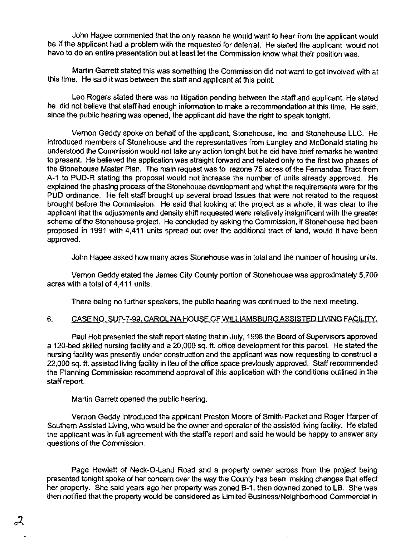John Hagee commented that the only reason he would want to hear from the applicant would be if the applicant had a problem with the requested for deferral. He stated the applicant would not have to do an entire presentation but at least let the Commission know what their position was.

Martin Garrett stated this was something the Commission did not want to get involved with at this time. He said it was between the staff and applicant at this point.

Leo Rogers stated there was no litigation pending between the staff and applicant. He stated he did not believe that staff had enough information to make a recommendation at this time. He said, since the public hearing was opened, the applicant did have the right to speak tonight.

Vernon Geddy spoke on behalf of the applicant, Stonehouse, Inc. and Stonehouse LLC. He introduced members of Stonehouse and the representatives from Langley and McDonald stating he understood the Commission would not take any action tonight but he did have brief remarks he wanted to present. He believed the application was straight forward and related only to the first two phases of the Stonehouse Master Plan. The main request was to rezone 75 acres of the Fernandaz Tract from A-1 to PUD-R stating the proposal would not increase the number of units already approved. He explained the phasing process of the Stonehouse development and what the requirements were for the PUD ordinance. He felt staff brought up several broad issues that were not related to the request brought before the Commission. He said that looking at the project as a whole, it was clear to the applicant that the adjustments and density shift requested were relatively insignificant with the greater scheme of the Stonehouse project. He concluded by asking the Commission. if Stonehouse had been proposed in 1991 with 4,411 units spread out over the additional tract of land, would it have been approved.

John Hagee asked how many acres Stonehouse was in total and the number of housing units.

Vemon Geddy stated the James City County portion of Stonehouse was approximately 5,700 acres with a total of 4,411 units.

There being no further speakers, the public hearing was continued to the next meeting.

# 6. CASE NO. SUP-7-99. CAROLINA HOUSE OF WILLIAMSBURG ASSISTED LIVING FACILITY.

Paul Holt presented the staff report stating that in July, 1998 the Board of Supervisors approved a 120-bed skilled nursing facility and a 20.000 sq. ft. office development for this parcel. He stated the nursing facility was presently under construction and the applicant was now requesting to construct a 22,000 sq. ft. assisted living facility in lieu of the office space previously approved. Staff recommended the Planning Commission recommend approval of this application with the conditions outlined in the staff report.

Martin Garrett opened the public hearing.

Vemon Geddy introduced the applicant Preston Moore of Smith-Packet and Roger Harper of Southem Assisted Living, who would be the owner and operator of the assisted living facility. He stated the applicant was in full agreement with the staff's report and said he would be happy to answer any questions of the Commission.

Page Hewlett of Neck-O-Land Road and a property owner across from the project being presented tonight spoke of her concem over the way the County has been making changes that effect her property. She said years ago her property was zoned B-1, then downed zoned to LB. She was then notified that the property would be considered as Limited Business/Neighborhood Commercial in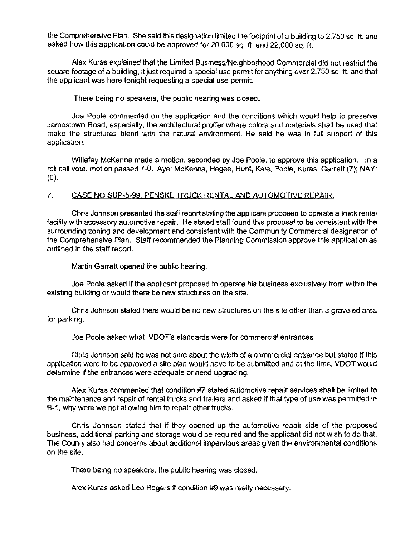the Comprehensive Plan. She said this designation limited the footprint of a building to 2,750 sq. ft. and asked how this application could be approved for 20,000 sq. ft. and 22,000 sq. ft.

Alex Kuras explained that the Limited Business/Neighborhood Commercial did not restrict the square footage of a building, it just required a special use permit for anything over 2,750 sq. ft. and that the applicant was here tonight requesting a special use permit.

There being no speakers, the public hearing was closed.

Joe Poole commented on the application and the conditions which would help to preserve Jamestown Road, especially, the architectural proffer where colors and materials shall be used that make the structures blend with the natural environment. He said he was in full support of this application.

Willafay McKenna made a motion, seconded by Joe Poole, to approve this application. In a roll call vote, motion passed 7-0. Aye: McKenna, Hagee, Hunt, Kale, Poole, Kuras, Garrett (7); NAY: (0).

#### 7. CASE NO SUP-5-99. PENSKE TRUCK RENTAL AND AUTOMOTIVE REPAIR.

Chris Johnson presented the staff report stating the applicant proposed to operate a truck rental facility with accessory automotive repair. He stated staff found this proposal to be consistent with the surrounding zoning and development and consistent with the Community Commercial designation of the Comprehensive Plan. Staff recommended the Planning Commission approve this application as outlined in the staff report.

Martin Garrett opened the public hearing.

Joe Poole asked if the applicant proposed to operate his business exclusively from within the existing building or would there be new structures on the site.

Chris Johnson stated there would be no new structures on the site other than a graveled area for parking.

Joe Poole asked what VDOT's standards were for commercial entrances.

Chris Johnson said he was not sure about the width of a commercial entrance but stated if this application were to be approved a site plan would have to be submitted and at the time, VDOT would determine if the entrances were adequate or need upgrading.

Alex Kuras commented that condition #7 stated automotive repair services shall be limited to the maintenance and repair of rental trucks and trailers and asked if that type of use was permitted in B-1, why were we not allowing him to repair other trucks.

Chris Johnson stated that if they opened up the automotive repair side of the proposed business, additional parking and storage would be required and the applicant did not wish to do that. The County also had concerns about additional impervious areas given the environmental conditions on the site.

There being no speakers, the public hearing was closed.

Alex Kuras asked Leo Rogers if condition #9 was really necessary.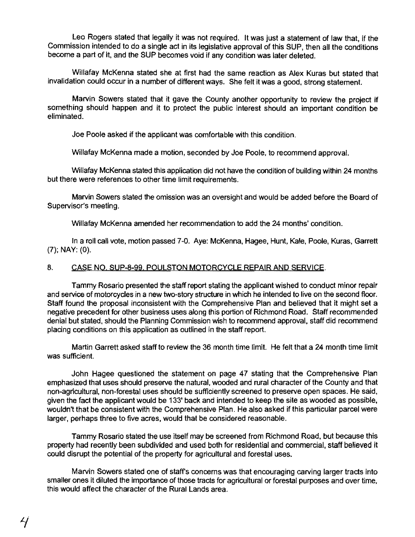Leo Rogers stated that legally it was not required. It was just a statement of law that, if the Commission intended to do a single act in its legislative approval of this SUP, then all the conditions become a part of it, and the SUP becomes void if any condition was later deleted.

Wiliafay McKenna stated she at first had the same reaction as Alex Kuras but stated that invalidation could occur in a number of different ways. She felt it was a good. strong statement.

Marvin Sowers stated that it gave the County another opportunity to review the project if something should happen and it to protect the public interest should an important condition be eliminated.

Joe Poole asked if the applicant was comfortable with this condition.

Willafay McKenna made a motion, seconded by Joe Poole. to recommend approval.

Willafay McKenna stated this application did not have the condition of building within 24 months but there were references to other time limit requirements.

Marvin Sowers stated the omission was an oversight and would be added before the Board of Supervisor's meeting.

Willafay McKenna amended her recommendation to add the 24 months' condition.

In a roll call vote. motion passed 7-0. Aye: McKenna. Hagee. Hunt, Kale. Poole, Kuras, Garrett (7); NAY: (0).

#### 8. CASE NO. SUP-8-99. POULSTON MOTORCYCLE REPAIR AND SERVICE.

Tammy Rosario presented the staff report stating the applicant wished to conduct minor repair and service of motorcycles in a new two-story structure in which he intended to live on the second floor. Staff found the proposal inconsistent with the Comprehensive Plan and believed that it might set a negative precedent for other business uses along this portion of Richmond Road. Staff recommended denial but stated. should the Planning Commission wish to recommend approval, staff did recommend placing conditions on this application as outlined in the staff report.

Martin Garrett asked staff to review the 36 month time limit. He felt that a 24 month time limit was sufficient.

John Hagee questioned the statement on page 47 stating that the Comprehensive Plan emphasized that uses should preserve the natural, wooded and rural character of the County and that non-agricultural, non-forestal uses should be sufficiently screened to preserve open spaces. He said. given the fact the applicant would be 133' back and intended to keep the site as wooded as possible. wouldn't that be consistent with the Comprehensive Plan. He also asked if this particular parcel were larger, perhaps three to five acres, would that be considered reasonable.

Tammy Rosario stated the use itself may be screened from Richmond Road. but because this property had recently been subdivided and used both for residential and commercial, staff believed it could disrupt the potential of the property for agricultural and forestal uses.

Marvin Sowers stated one of staffs concerns was that encouraging carving larger tracts into smaller ones it diluted the importance of those tracts for agricultural or forestal purposes and over time, this would affect the character of the Rural Lands area.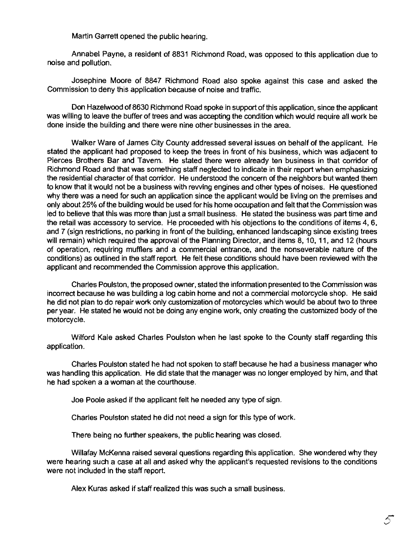Martin Garrett opened the public hearing.

Annabel Payne, a resident of 8831 Richmond Road, was opposed to this application due to noise and pollution.

Josephine Moore of 8847 Richmond Road also spoke against this case and asked the Commission to deny this application because of noise and traffic.

Don Hazelwood of 8630 Richmond Road spoke in support of this application, since the applicant was willing to leave the buffer of trees and was accepting the condition which would require all work be done inside the building and there were nine other businesses in the area.

Walker Ware of James City County addressed several issues on behalf of the applicant. He stated the applicant had proposed to keep the trees in front of his business, which was adjacent to Pierces Brothers Bar and Tavem. He stated there were already ten business in that corridor of Richmond Road and that was something staff neglected to indicate in their report when emphasizing the residential character of that corridor. He understood the concern of the neighbors but wanted them to know that it would not be a business with rewing engines and other types of noises. He questioned why there was a need for such an application since the applicant would be living on the premises and only about 25% of the building would be used for his home occupation and felt that the Commission was led to believe that this was more than just a small business. He stated the business was part time and the retail was accessory to service. He proceeded with his objections to the conditions of items 4, 6, and 7 (sign restrictions, no parking in front of the building, enhanced landscaping since existing trees will remain) which required the approval of the Planning Director, and items 8, 10, 11, and 12 (hours of operation, requiring mufflers and a commercial entrance, and the nonseverable nature of the conditions) as outlined in the staff report. He felt these conditions should have been reviewed with the applicant and recommended the Commission approve this application.

Charles Poulston, the proposed owner, stated the information presented to the Commission was incorrect because he was building a log cabin home and not a commercial motorcycle shop. He said he did not plan to do repair work only custornization of motorcycies which would be about two to three per year. He stated he would not be doing any engine work, only creating the customized body of the motorcycle.

Wilford Kale asked Charles Poulston when he last spoke to the County staff regarding this application.

Charles Poulston stated he had not spoken to staff because he had a business manager who was handling this application. He did state that the manager was no longer employed by him, and that he had spoken a a woman at the courthouse.

Joe Poole asked if the applicant felt he needed any type of sign.

Charles Poulston stated he did not need a sign for this type of work.

There being no further speakers, the public hearing was closed.

Willafay McKenna raised several questions regarding this application. She wondered why they were hearing such a case at all and asked why the applicant's requested revisions to the conditions were not included in the staff report.

Alex Kuras asked if staff realized this was such a small business.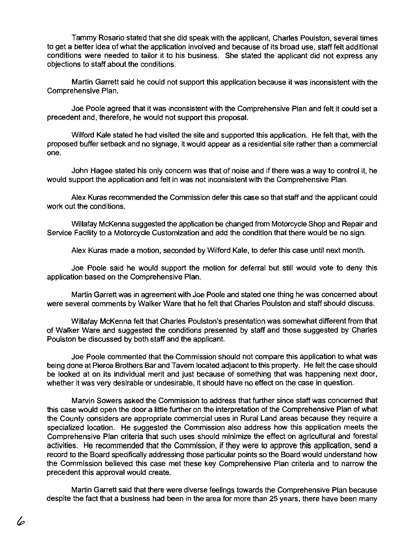Tammy Rosario stated that she did speak with the applicant, Charles Poulston, several times to get a better idea of what the application involved and because of its broad use, staff felt additional conditions were needed to tailor it to his business. She stated the applicant did not express any objections to staff about the conditions.

Martin Garrett said he could not support this application because it was inconsistent with the Comprehensive Plan.

Joe Poole agreed that it was inconsistent with the Comprehensive Plan and felt it could set a precedent and, therefore, he would not support this proposal.

Wilford Kale stated he had visited the site and supported this application. He felt that, with the proposed buffer setback and no signage, it would appear as a residential site rather than a commercial one.

John Hagee stated his only concem was that of noise and if there was a way to control it, he would support the application and felt in was not inconsistent with the Comprehensive Plan.

Alex Kuras recommended the Commission defer this case so that staff and the applicant could work out the conditions.

Willafay McKenna suggested the application be changed from Motorcycle Shop and Repair and Service Facility to a Motorcycle Customization and add the condition that there would be no sign.

Alex Kuras made a motion, seconded by Wilford Kale, to defer this case until next month.

Joe Poole said he would support the motion for deferral but still would vote to deny this application based on the Comprehensive Plan.

Martin Garrett was in agreement with Joe Poole and stated one thing he was concerned about were several comments by Walker Ware that he felt that Charles Poulston and staff should discuss.

Willafay McKenna felt that Charles Poulston's presentation was somewhat different from that of Walker Ware and suggested the conditions presented by staff and those suggested by Charles Poulston be discussed by both staff and the applicant.

Joe Poole commented that the Commission should not compare this application to what was being done at Pierce Brothers **Bar** and Tavem located adjacent to this property. He felt the case should be looked at on its individual merit and just because of something that was happening next door, whether it was very desirable or undesirable, it should have no effect on the case in question.

Marvin Sowers asked the Commission to address that further since staff was concerned that this case would open the door a little further on the interpretation of the Comprehensive Plan of what the County considers are appropriate commercial uses in Rural Land areas because they require a specialized location. He suggested the Commission also address how this application meets the Comprehensive Plan criteria that such uses should minimize the effect on agricultural and forestal activities. He recommended that the Commission, if they were to approve this application, send a record to the Board specifically addressing those particular points so the Board would understand how the Commission believed this case met these key Comprehensive Plan criteria and to narrow the precedent this approval would create.

Martin Garrett said that there were diverse feelings towards the Comprehensive Plan because despite the fact that a business had been in the area for more than 25 years, there have been many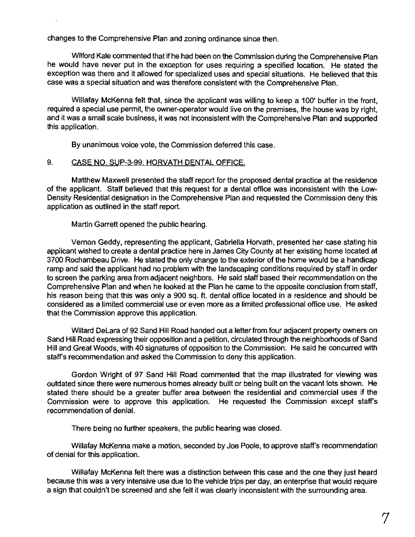changes to the Comprehensive Plan and zoning ordinance since then.

Wilford Kale commented that if he had been on the Commission during the Comprehensive Plan he would have never put in the exception for uses requiring a specified location. He stated the exception was there and it allowed for specialized uses and special situations. He believed that this case was a special situation and was therefore consistent with the Comprehensive Plan.

Willafay McKenna felt that, since the applicant was willing to keep a 100' buffer in the front, required a special use permit, the owner-operator would live on the premises. the house was by right, and it was a small scale business. it was not inconsistent with the Comprehensive Plan and supported this application.

By unanimous voice vote. the Commission deferred this case.

# 9. CASE NO. SUP-3=99. HORVATH DENTAL OFFICE.

Matthew Maxwell presented the staff report for the proposed dental practice at the residence of the applicant. Staff believed that this request for a dental office was inconsistent with the low-Density Residential designation in the Comprehensive Plan and requested the Commission deny this application as outlined in the staff report.

Martin Garrett opened the public hearing.

Vernon Geddy. representing the applicant. Gabriella Horvath. presented her case stating his applicant wished to create a dental practice here in James City County at her existing home located at 3700 Rochambeau Drive. He stated the only change to the exterior of the home would be a handicap ramp and said the applicant had no problem with the landscaping conditions required by staff in order to screen the parking area from adjacent neighbors. He said staff based their recommendation on the Comprehensive Plan and when he looked at the Plan he came to the opposite conclusion from staff, his reason being that this was only a 900 sq. ft. dental office located in a residence and should be considered as a limited commercial use or even more as a limited professional office use. He asked that the Commission approve this application.

Willard Delara of 92 Sand Hill Road handed out a letter from four adjacent property owners on Sand Hill Road expressing their opposition and a petition. circulated through the neighborhoods of Sand Hill and Great Woods, with 40 signatures of opposition to the Commission. He said he concurred with staff's recommendation and asked the Commission to deny this application.

Gordon Wright of 97 Sand Hill Road commented that the map illustrated for viewing was outdated since there were numerous homes already built or being built on the vacant lots shown. He stated there should be a greater buffer area between the residential and commercial uses if the Commission were to approve this application. He requested the Commission except staffs recommendation of denial.

There being no further speakers, the public hearing was closed.

Willafay McKenna make a motion, seconded by Joe Poole, to approve staff's recommendation of denial for this application.

Willafay McKenna felt there was a distinction between this case and the one they just heard because this was a very intensive use due to the vehicle trips per day, an enterprise that would require a sign that couldn't be screened and she felt it was clearly inconsistent with the surrounding area.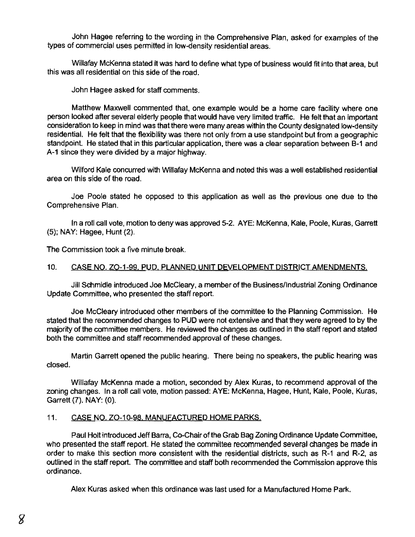John Hagee referring to the wording in the Comprehensive Plan, asked for examples of the types of commercial uses permitted in low-density residential areas.

Willafay McKenna stated it was hard to define what type of business would fit into that area, but this was all residential on this side of the road.

John Hagee asked for staff comments.

Matthew Maxwell commented that, one example would be a home care facility where one person looked after several elderly people that would have very limited traffic. He felt that an important consideration to keep in mind was that there were many areas within the County designated low-density residential. He felt that the flexibility was there not only from a use standpoint but from a geographic standpoint. He stated that in this particular application, there was a clear separation between B-1 and A-l since they were divided by a major highway.

Wilford Kale concurred with Willafay McKenna and noted this was a well established residential area on this side of the road.

Joe Poole stated he opposed to this application as well as the previous one due to the Comprehensive Plan.

In a roll call vote, motion to deny was approved 5-2. AYE: McKenna, Kale, Poole, Kuras, Garrett (5); NAY: Hagee, Hunt (2).

The Commission took a five minute break.

# 10. CASE NO. ZO-1-99. PUD, PLANNED UNIT DEVELOPMENT DISTRICT AMENDMENTS.

Jill Schmidle introduced Joe McCleary, a member of the Business/Industrial Zoning Ordinance Update Committee, who presented the staff report.

Joe McCleary introduced other members of the committee to the Planning Commission. He stated that the recommended changes to PUP were not extensive and that they were agreed to by the majority of the committee members. He reviewed the changes as outlined in the staff report and stated both the committee and staff recommended approval of these changes.

Martin Garrett opened the public hearing. There being no speakers, the public hearing was closed.

Willafay McKenna made a motion, seconded by Alex Kuras, to recommend approval of the zoning changes. In a roll call vote, motion passed: AYE: McKenna, Hagee, Hunt, Kale, Poole, Kuras, Garrett (7). NAY: (0).

# 11. CASE NO. ZO-10-98. MANUFACTURED HOME PARKS.

Paul Holl introduced Jeff Barra, Co-Chair of the Grab Bag Zoning Ordinance Update Committee, who presented the staff report. He stated the committee recommended several changes be made in order to make this section more consistent with the residential districts, such as R-l and R-2, as outlined in the staff report. The committee and staff both recommended the Commission approve this ordinance.

Alex Kuras asked when this ordinance was last used for a Manufactured Home Park.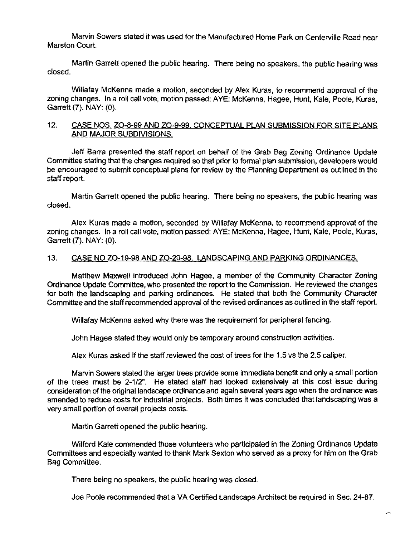Marvin Sowers stated it was used for the Manufactured Home Park on Centerville Road near Marston Court.

Martin Garrett opened the public hearing. There being no speakers, the public hearing was closed.

Willafay McKenna made a motion, seconded by Alex Kuras, to recommend approval of the zoning changes. In a roll call vote, motion passed: AYE: McKenna, Hagee. Hunt, Kale, Poole. Kuras, Garrett (7). NAY: (0).

### 12. CASE NOS. ZO-8-99 AND ZO-9-99. CONCEPTUAL PLAN SUBMISSION FOR SITE PLANS AND MAJOR SUBDIVISIONS,

Jeff Barra presented the staff report on behalf of the Grab Bag Zoning Ordinance Update Committee stating that the changes required so that prior to formal plan submission. developers would be encouraged to submit conceptual plans for review by the Planning Department as outlined in the staff report.

Martin Garrett opened the public hearing. There being no speakers. the public hearing was closed.

Alex Kuras made a motion. seconded by Willafay McKenna. to recommend approval of the zoning changes. In a roll call vote, motion passed: AYE: McKenna, Hagee, Hunt, Kale, Poole, Kuras, Garrett (7). NAY: (0).

# 13. CASE NO ZO-19-98 AND ZO-20-98. LANDSCAPING AND PARKING ORDINANCES.

Matthew Maxwell introduced John Hagee, a member of the Community Character Zoning Ordinance Update Committee. who presented the report to the Commission. He reviewed the changes for both the landscaping and parking ordinances. He stated that both the Community Character Committee and the staff recommended approval of the revised ordinances as outlined in the staff report.

Willafay McKenna asked why there was the requirement for peripheral fencing.

John Hagee stated they would only be temporary around construction activities.

Alex Kuras asked if the staff reviewed the cost of trees for the 1.5 vs the 2.5 caliper.

Marvin Sowers stated the larger trees provide some immediate benefit and only a small portion of the trees must be 2-1/2". He stated staff had looked extensively at this cost issue during consideration of the original landscape ordinance and again several years ago when the ordinance was amended to reduce costs for industrial projects. Both times it was concluded that landscaping was a very small portion of overall projects costs.

Martin Garrett opened the public hearing.

Wilford Kale commended those volunteers who participated in the Zoning Ordinance Update Committees and especially wanted to thank Mark Sexton who served as a proxy for him on the Grab Bag Committee.

There being no speakers, the public hearing was closed.

Joe Poole recommended that a VA Certified Landscape Architect be required in Sec. 24-87.